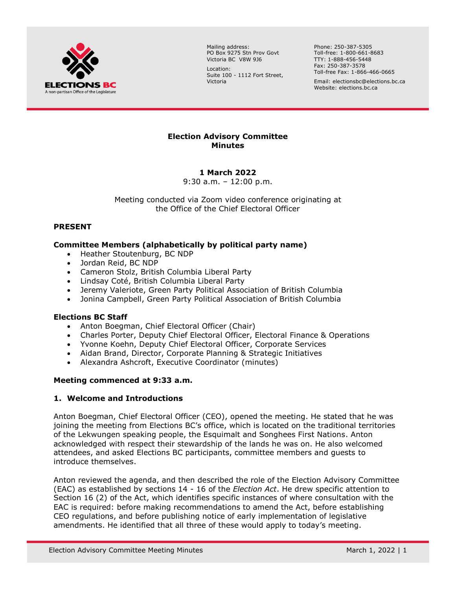

Mailing address: PO Box 9275 Stn Prov Govt Victoria BC V8W 9J6

Location: Suite 100 - 1112 Fort Street, Victoria

Phone: 250-387-5305 Toll-free: 1-800-661-8683 TTY: 1-888-456-5448 Fax: 250-387-3578 Toll-free Fax: 1-866-466-0665

Email: electionsbc@elections.bc.ca Website: elections.bc.ca

## **Election Advisory Committee Minutes**

# **1 March 2022**

9:30 a.m. – 12:00 p.m.

Meeting conducted via Zoom video conference originating at the Office of the Chief Electoral Officer

# **PRESENT**

## **Committee Members (alphabetically by political party name)**

- Heather Stoutenburg, BC NDP
- Jordan Reid, BC NDP
- Cameron Stolz, British Columbia Liberal Party
- Lindsay Coté, British Columbia Liberal Party
- Jeremy Valeriote, Green Party Political Association of British Columbia
- Jonina Campbell, Green Party Political Association of British Columbia

## **Elections BC Staff**

- Anton Boegman, Chief Electoral Officer (Chair)
- Charles Porter, Deputy Chief Electoral Officer, Electoral Finance & Operations
- Yvonne Koehn, Deputy Chief Electoral Officer, Corporate Services
- Aidan Brand, Director, Corporate Planning & Strategic Initiatives
- Alexandra Ashcroft, Executive Coordinator (minutes)

## **Meeting commenced at 9:33 a.m.**

## **1. Welcome and Introductions**

Anton Boegman, Chief Electoral Officer (CEO), opened the meeting. He stated that he was joining the meeting from Elections BC's office, which is located on the traditional territories of the Lekwungen speaking people, the Esquimalt and Songhees First Nations. Anton acknowledged with respect their stewardship of the lands he was on. He also welcomed attendees, and asked Elections BC participants, committee members and guests to introduce themselves.

Anton reviewed the agenda, and then described the role of the Election Advisory Committee (EAC) as established by sections 14 - 16 of the *Election Act*. He drew specific attention to Section 16 (2) of the Act, which identifies specific instances of where consultation with the EAC is required: before making recommendations to amend the Act, before establishing CEO regulations, and before publishing notice of early implementation of legislative amendments. He identified that all three of these would apply to today's meeting.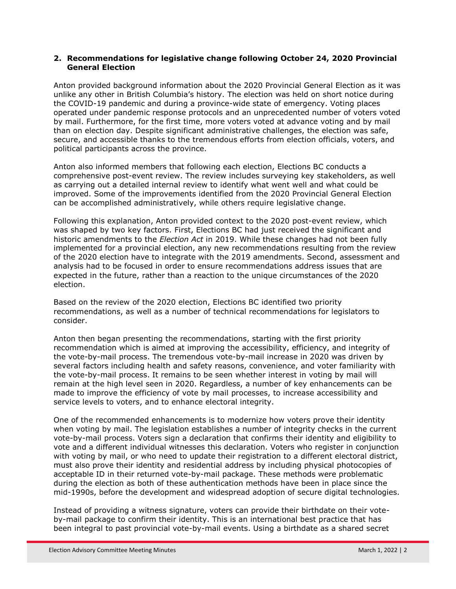## **2. Recommendations for legislative change following October 24, 2020 Provincial General Election**

Anton provided background information about the 2020 Provincial General Election as it was unlike any other in British Columbia's history. The election was held on short notice during the COVID-19 pandemic and during a province-wide state of emergency. Voting places operated under pandemic response protocols and an unprecedented number of voters voted by mail. Furthermore, for the first time, more voters voted at advance voting and by mail than on election day. Despite significant administrative challenges, the election was safe, secure, and accessible thanks to the tremendous efforts from election officials, voters, and political participants across the province.

Anton also informed members that following each election, Elections BC conducts a comprehensive post-event review. The review includes surveying key stakeholders, as well as carrying out a detailed internal review to identify what went well and what could be improved. Some of the improvements identified from the 2020 Provincial General Election can be accomplished administratively, while others require legislative change.

Following this explanation, Anton provided context to the 2020 post-event review, which was shaped by two key factors. First, Elections BC had just received the significant and historic amendments to the *Election Act* in 2019. While these changes had not been fully implemented for a provincial election, any new recommendations resulting from the review of the 2020 election have to integrate with the 2019 amendments. Second, assessment and analysis had to be focused in order to ensure recommendations address issues that are expected in the future, rather than a reaction to the unique circumstances of the 2020 election.

Based on the review of the 2020 election, Elections BC identified two priority recommendations, as well as a number of technical recommendations for legislators to consider.

Anton then began presenting the recommendations, starting with the first priority recommendation which is aimed at improving the accessibility, efficiency, and integrity of the vote-by-mail process. The tremendous vote-by-mail increase in 2020 was driven by several factors including health and safety reasons, convenience, and voter familiarity with the vote-by-mail process. It remains to be seen whether interest in voting by mail will remain at the high level seen in 2020. Regardless, a number of key enhancements can be made to improve the efficiency of vote by mail processes, to increase accessibility and service levels to voters, and to enhance electoral integrity.

One of the recommended enhancements is to modernize how voters prove their identity when voting by mail. The legislation establishes a number of integrity checks in the current vote-by-mail process. Voters sign a declaration that confirms their identity and eligibility to vote and a different individual witnesses this declaration. Voters who register in conjunction with voting by mail, or who need to update their registration to a different electoral district, must also prove their identity and residential address by including physical photocopies of acceptable ID in their returned vote-by-mail package. These methods were problematic during the election as both of these authentication methods have been in place since the mid-1990s, before the development and widespread adoption of secure digital technologies.

Instead of providing a witness signature, voters can provide their birthdate on their voteby-mail package to confirm their identity. This is an international best practice that has been integral to past provincial vote-by-mail events. Using a birthdate as a shared secret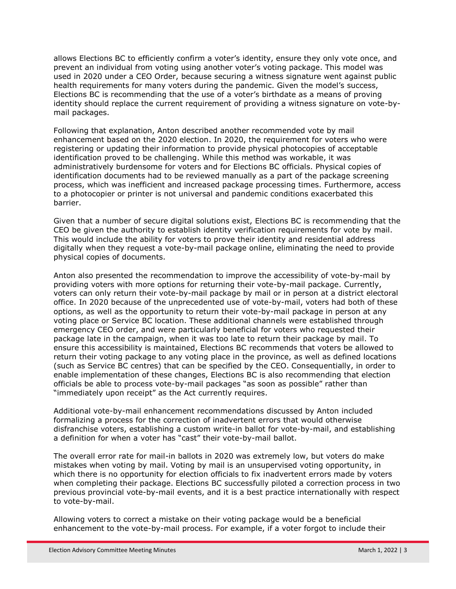allows Elections BC to efficiently confirm a voter's identity, ensure they only vote once, and prevent an individual from voting using another voter's voting package. This model was used in 2020 under a CEO Order, because securing a witness signature went against public health requirements for many voters during the pandemic. Given the model's success, Elections BC is recommending that the use of a voter's birthdate as a means of proving identity should replace the current requirement of providing a witness signature on vote-bymail packages.

Following that explanation, Anton described another recommended vote by mail enhancement based on the 2020 election. In 2020, the requirement for voters who were registering or updating their information to provide physical photocopies of acceptable identification proved to be challenging. While this method was workable, it was administratively burdensome for voters and for Elections BC officials. Physical copies of identification documents had to be reviewed manually as a part of the package screening process, which was inefficient and increased package processing times. Furthermore, access to a photocopier or printer is not universal and pandemic conditions exacerbated this barrier.

Given that a number of secure digital solutions exist, Elections BC is recommending that the CEO be given the authority to establish identity verification requirements for vote by mail. This would include the ability for voters to prove their identity and residential address digitally when they request a vote-by-mail package online, eliminating the need to provide physical copies of documents.

Anton also presented the recommendation to improve the accessibility of vote-by-mail by providing voters with more options for returning their vote-by-mail package. Currently, voters can only return their vote-by-mail package by mail or in person at a district electoral office. In 2020 because of the unprecedented use of vote-by-mail, voters had both of these options, as well as the opportunity to return their vote-by-mail package in person at any voting place or Service BC location. These additional channels were established through emergency CEO order, and were particularly beneficial for voters who requested their package late in the campaign, when it was too late to return their package by mail. To ensure this accessibility is maintained, Elections BC recommends that voters be allowed to return their voting package to any voting place in the province, as well as defined locations (such as Service BC centres) that can be specified by the CEO. Consequentially, in order to enable implementation of these changes, Elections BC is also recommending that election officials be able to process vote-by-mail packages "as soon as possible" rather than "immediately upon receipt" as the Act currently requires.

Additional vote-by-mail enhancement recommendations discussed by Anton included formalizing a process for the correction of inadvertent errors that would otherwise disfranchise voters, establishing a custom write-in ballot for vote-by-mail, and establishing a definition for when a voter has "cast" their vote-by-mail ballot.

The overall error rate for mail-in ballots in 2020 was extremely low, but voters do make mistakes when voting by mail. Voting by mail is an unsupervised voting opportunity, in which there is no opportunity for election officials to fix inadvertent errors made by voters when completing their package. Elections BC successfully piloted a correction process in two previous provincial vote-by-mail events, and it is a best practice internationally with respect to vote-by-mail.

Allowing voters to correct a mistake on their voting package would be a beneficial enhancement to the vote-by-mail process. For example, if a voter forgot to include their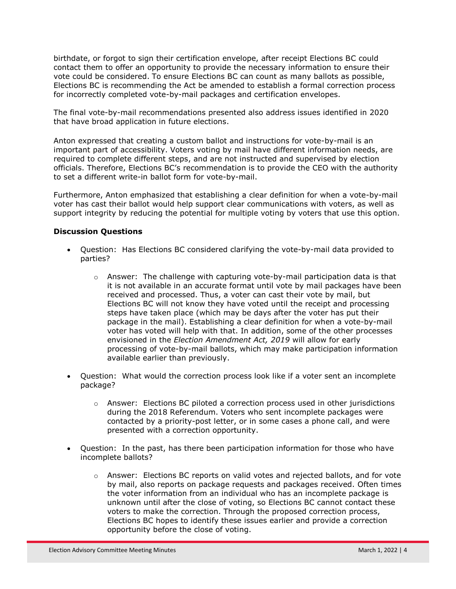birthdate, or forgot to sign their certification envelope, after receipt Elections BC could contact them to offer an opportunity to provide the necessary information to ensure their vote could be considered. To ensure Elections BC can count as many ballots as possible, Elections BC is recommending the Act be amended to establish a formal correction process for incorrectly completed vote-by-mail packages and certification envelopes.

The final vote-by-mail recommendations presented also address issues identified in 2020 that have broad application in future elections.

Anton expressed that creating a custom ballot and instructions for vote-by-mail is an important part of accessibility. Voters voting by mail have different information needs, are required to complete different steps, and are not instructed and supervised by election officials. Therefore, Elections BC's recommendation is to provide the CEO with the authority to set a different write-in ballot form for vote-by-mail.

Furthermore, Anton emphasized that establishing a clear definition for when a vote-by-mail voter has cast their ballot would help support clear communications with voters, as well as support integrity by reducing the potential for multiple voting by voters that use this option.

## **Discussion Questions**

- Question: Has Elections BC considered clarifying the vote-by-mail data provided to parties?
	- $\circ$  Answer: The challenge with capturing vote-by-mail participation data is that it is not available in an accurate format until vote by mail packages have been received and processed. Thus, a voter can cast their vote by mail, but Elections BC will not know they have voted until the receipt and processing steps have taken place (which may be days after the voter has put their package in the mail). Establishing a clear definition for when a vote-by-mail voter has voted will help with that. In addition, some of the other processes envisioned in the *Election Amendment Act, 2019* will allow for early processing of vote-by-mail ballots, which may make participation information available earlier than previously.
- Question: What would the correction process look like if a voter sent an incomplete package?
	- $\circ$  Answer: Elections BC piloted a correction process used in other jurisdictions during the 2018 Referendum. Voters who sent incomplete packages were contacted by a priority-post letter, or in some cases a phone call, and were presented with a correction opportunity.
- Question: In the past, has there been participation information for those who have incomplete ballots?
	- $\circ$  Answer: Elections BC reports on valid votes and rejected ballots, and for vote by mail, also reports on package requests and packages received. Often times the voter information from an individual who has an incomplete package is unknown until after the close of voting, so Elections BC cannot contact these voters to make the correction. Through the proposed correction process, Elections BC hopes to identify these issues earlier and provide a correction opportunity before the close of voting.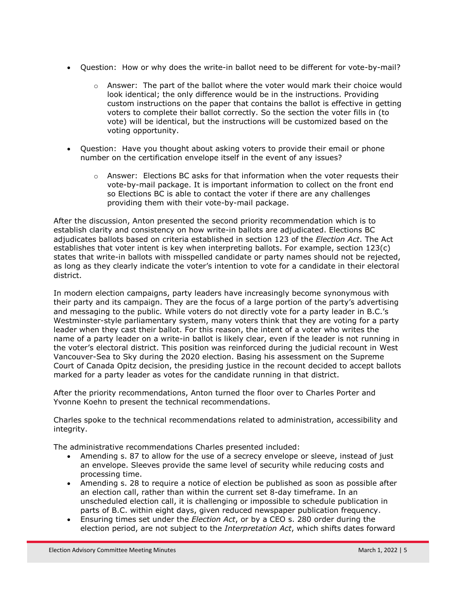- Question: How or why does the write-in ballot need to be different for vote-by-mail?
	- $\circ$  Answer: The part of the ballot where the voter would mark their choice would look identical; the only difference would be in the instructions. Providing custom instructions on the paper that contains the ballot is effective in getting voters to complete their ballot correctly. So the section the voter fills in (to vote) will be identical, but the instructions will be customized based on the voting opportunity.
- Question: Have you thought about asking voters to provide their email or phone number on the certification envelope itself in the event of any issues?
	- $\circ$  Answer: Elections BC asks for that information when the voter requests their vote-by-mail package. It is important information to collect on the front end so Elections BC is able to contact the voter if there are any challenges providing them with their vote-by-mail package.

After the discussion, Anton presented the second priority recommendation which is to establish clarity and consistency on how write-in ballots are adjudicated. Elections BC adjudicates ballots based on criteria established in section 123 of the *Election Act*. The Act establishes that voter intent is key when interpreting ballots. For example, section 123(c) states that write-in ballots with misspelled candidate or party names should not be rejected, as long as they clearly indicate the voter's intention to vote for a candidate in their electoral district.

In modern election campaigns, party leaders have increasingly become synonymous with their party and its campaign. They are the focus of a large portion of the party's advertising and messaging to the public. While voters do not directly vote for a party leader in B.C.'s Westminster-style parliamentary system, many voters think that they are voting for a party leader when they cast their ballot. For this reason, the intent of a voter who writes the name of a party leader on a write-in ballot is likely clear, even if the leader is not running in the voter's electoral district. This position was reinforced during the judicial recount in West Vancouver-Sea to Sky during the 2020 election. Basing his assessment on the Supreme Court of Canada Opitz decision, the presiding justice in the recount decided to accept ballots marked for a party leader as votes for the candidate running in that district.

After the priority recommendations, Anton turned the floor over to Charles Porter and Yvonne Koehn to present the technical recommendations.

Charles spoke to the technical recommendations related to administration, accessibility and integrity.

The administrative recommendations Charles presented included:

- Amending s. 87 to allow for the use of a secrecy envelope or sleeve, instead of just an envelope. Sleeves provide the same level of security while reducing costs and processing time.
- Amending s. 28 to require a notice of election be published as soon as possible after an election call, rather than within the current set 8-day timeframe. In an unscheduled election call, it is challenging or impossible to schedule publication in parts of B.C. within eight days, given reduced newspaper publication frequency.
- Ensuring times set under the *Election Act*, or by a CEO s. 280 order during the election period, are not subject to the *Interpretation Act*, which shifts dates forward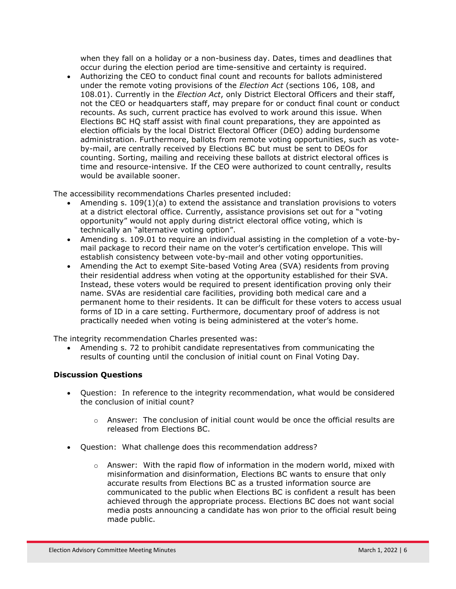when they fall on a holiday or a non-business day. Dates, times and deadlines that occur during the election period are time-sensitive and certainty is required.

 Authorizing the CEO to conduct final count and recounts for ballots administered under the remote voting provisions of the *Election Act* (sections 106, 108, and 108.01). Currently in the *Election Act*, only District Electoral Officers and their staff, not the CEO or headquarters staff, may prepare for or conduct final count or conduct recounts. As such, current practice has evolved to work around this issue. When Elections BC HQ staff assist with final count preparations, they are appointed as election officials by the local District Electoral Officer (DEO) adding burdensome administration. Furthermore, ballots from remote voting opportunities, such as voteby-mail, are centrally received by Elections BC but must be sent to DEOs for counting. Sorting, mailing and receiving these ballots at district electoral offices is time and resource-intensive. If the CEO were authorized to count centrally, results would be available sooner.

The accessibility recommendations Charles presented included:

- Amending s. 109(1)(a) to extend the assistance and translation provisions to voters at a district electoral office. Currently, assistance provisions set out for a "voting opportunity" would not apply during district electoral office voting, which is technically an "alternative voting option".
- Amending s. 109.01 to require an individual assisting in the completion of a vote-bymail package to record their name on the voter's certification envelope. This will establish consistency between vote-by-mail and other voting opportunities.
- Amending the Act to exempt Site-based Voting Area (SVA) residents from proving their residential address when voting at the opportunity established for their SVA. Instead, these voters would be required to present identification proving only their name. SVAs are residential care facilities, providing both medical care and a permanent home to their residents. It can be difficult for these voters to access usual forms of ID in a care setting. Furthermore, documentary proof of address is not practically needed when voting is being administered at the voter's home.

The integrity recommendation Charles presented was:

 Amending s. 72 to prohibit candidate representatives from communicating the results of counting until the conclusion of initial count on Final Voting Day.

# **Discussion Questions**

- Question: In reference to the integrity recommendation, what would be considered the conclusion of initial count?
	- $\circ$  Answer: The conclusion of initial count would be once the official results are released from Elections BC.
- Question: What challenge does this recommendation address?
	- $\circ$  Answer: With the rapid flow of information in the modern world, mixed with misinformation and disinformation, Elections BC wants to ensure that only accurate results from Elections BC as a trusted information source are communicated to the public when Elections BC is confident a result has been achieved through the appropriate process. Elections BC does not want social media posts announcing a candidate has won prior to the official result being made public.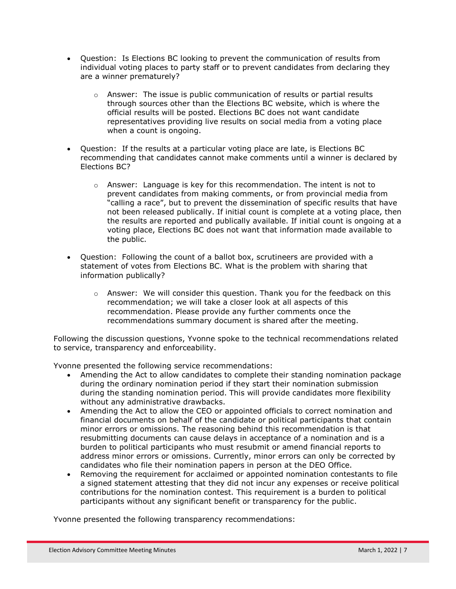- Question: Is Elections BC looking to prevent the communication of results from individual voting places to party staff or to prevent candidates from declaring they are a winner prematurely?
	- $\circ$  Answer: The issue is public communication of results or partial results through sources other than the Elections BC website, which is where the official results will be posted. Elections BC does not want candidate representatives providing live results on social media from a voting place when a count is ongoing.
- Question: If the results at a particular voting place are late, is Elections BC recommending that candidates cannot make comments until a winner is declared by Elections BC?
	- $\circ$  Answer: Language is key for this recommendation. The intent is not to prevent candidates from making comments, or from provincial media from "calling a race", but to prevent the dissemination of specific results that have not been released publically. If initial count is complete at a voting place, then the results are reported and publically available. If initial count is ongoing at a voting place, Elections BC does not want that information made available to the public.
- Question: Following the count of a ballot box, scrutineers are provided with a statement of votes from Elections BC. What is the problem with sharing that information publically?
	- $\circ$  Answer: We will consider this question. Thank you for the feedback on this recommendation; we will take a closer look at all aspects of this recommendation. Please provide any further comments once the recommendations summary document is shared after the meeting.

Following the discussion questions, Yvonne spoke to the technical recommendations related to service, transparency and enforceability.

Yvonne presented the following service recommendations:

- Amending the Act to allow candidates to complete their standing nomination package during the ordinary nomination period if they start their nomination submission during the standing nomination period. This will provide candidates more flexibility without any administrative drawbacks.
- Amending the Act to allow the CEO or appointed officials to correct nomination and financial documents on behalf of the candidate or political participants that contain minor errors or omissions. The reasoning behind this recommendation is that resubmitting documents can cause delays in acceptance of a nomination and is a burden to political participants who must resubmit or amend financial reports to address minor errors or omissions. Currently, minor errors can only be corrected by candidates who file their nomination papers in person at the DEO Office.
- Removing the requirement for acclaimed or appointed nomination contestants to file a signed statement attesting that they did not incur any expenses or receive political contributions for the nomination contest. This requirement is a burden to political participants without any significant benefit or transparency for the public.

Yvonne presented the following transparency recommendations: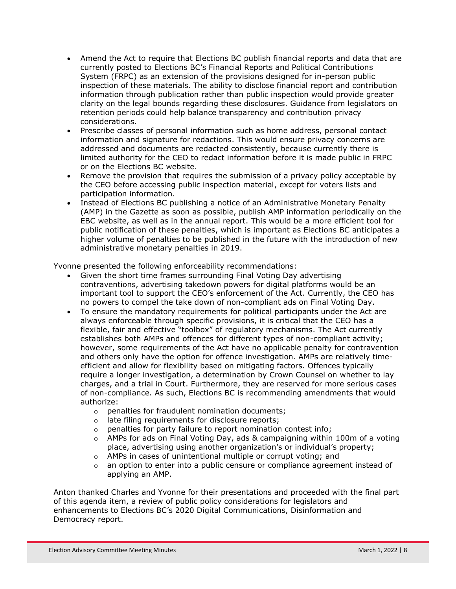- Amend the Act to require that Elections BC publish financial reports and data that are currently posted to Elections BC's Financial Reports and Political Contributions System (FRPC) as an extension of the provisions designed for in-person public inspection of these materials. The ability to disclose financial report and contribution information through publication rather than public inspection would provide greater clarity on the legal bounds regarding these disclosures. Guidance from legislators on retention periods could help balance transparency and contribution privacy considerations.
- Prescribe classes of personal information such as home address, personal contact information and signature for redactions. This would ensure privacy concerns are addressed and documents are redacted consistently, because currently there is limited authority for the CEO to redact information before it is made public in FRPC or on the Elections BC website.
- Remove the provision that requires the submission of a privacy policy acceptable by the CEO before accessing public inspection material, except for voters lists and participation information.
- Instead of Elections BC publishing a notice of an Administrative Monetary Penalty (AMP) in the Gazette as soon as possible, publish AMP information periodically on the EBC website, as well as in the annual report. This would be a more efficient tool for public notification of these penalties, which is important as Elections BC anticipates a higher volume of penalties to be published in the future with the introduction of new administrative monetary penalties in 2019.

Yvonne presented the following enforceability recommendations:

- Given the short time frames surrounding Final Voting Day advertising contraventions, advertising takedown powers for digital platforms would be an important tool to support the CEO's enforcement of the Act. Currently, the CEO has no powers to compel the take down of non-compliant ads on Final Voting Day.
- To ensure the mandatory requirements for political participants under the Act are always enforceable through specific provisions, it is critical that the CEO has a flexible, fair and effective "toolbox" of regulatory mechanisms. The Act currently establishes both AMPs and offences for different types of non-compliant activity; however, some requirements of the Act have no applicable penalty for contravention and others only have the option for offence investigation. AMPs are relatively timeefficient and allow for flexibility based on mitigating factors. Offences typically require a longer investigation, a determination by Crown Counsel on whether to lay charges, and a trial in Court. Furthermore, they are reserved for more serious cases of non-compliance. As such, Elections BC is recommending amendments that would authorize:
	- o penalties for fraudulent nomination documents;
	- o late filing requirements for disclosure reports;
	- o penalties for party failure to report nomination contest info;
	- o AMPs for ads on Final Voting Day, ads & campaigning within 100m of a voting place, advertising using another organization's or individual's property;
	- o AMPs in cases of unintentional multiple or corrupt voting; and
	- $\circ$  an option to enter into a public censure or compliance agreement instead of applying an AMP.

Anton thanked Charles and Yvonne for their presentations and proceeded with the final part of this agenda item, a review of public policy considerations for legislators and enhancements to Elections BC's 2020 Digital Communications, Disinformation and Democracy report.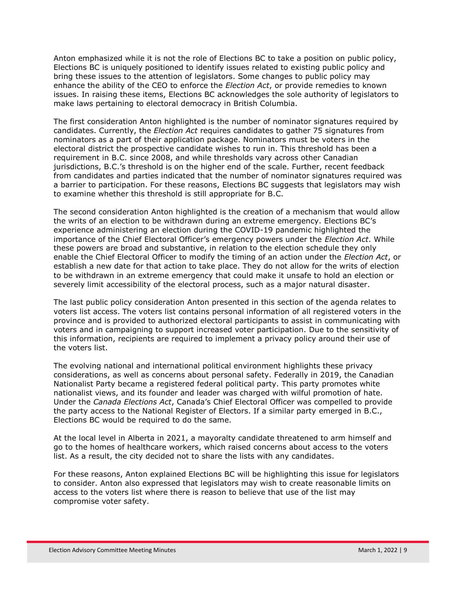Anton emphasized while it is not the role of Elections BC to take a position on public policy, Elections BC is uniquely positioned to identify issues related to existing public policy and bring these issues to the attention of legislators. Some changes to public policy may enhance the ability of the CEO to enforce the *Election Act*, or provide remedies to known issues. In raising these items, Elections BC acknowledges the sole authority of legislators to make laws pertaining to electoral democracy in British Columbia.

The first consideration Anton highlighted is the number of nominator signatures required by candidates. Currently, the *Election Act* requires candidates to gather 75 signatures from nominators as a part of their application package. Nominators must be voters in the electoral district the prospective candidate wishes to run in. This threshold has been a requirement in B.C. since 2008, and while thresholds vary across other Canadian jurisdictions, B.C.'s threshold is on the higher end of the scale. Further, recent feedback from candidates and parties indicated that the number of nominator signatures required was a barrier to participation. For these reasons, Elections BC suggests that legislators may wish to examine whether this threshold is still appropriate for B.C.

The second consideration Anton highlighted is the creation of a mechanism that would allow the writs of an election to be withdrawn during an extreme emergency. Elections BC's experience administering an election during the COVID-19 pandemic highlighted the importance of the Chief Electoral Officer's emergency powers under the *Election Act*. While these powers are broad and substantive, in relation to the election schedule they only enable the Chief Electoral Officer to modify the timing of an action under the *Election Act*, or establish a new date for that action to take place. They do not allow for the writs of election to be withdrawn in an extreme emergency that could make it unsafe to hold an election or severely limit accessibility of the electoral process, such as a major natural disaster.

The last public policy consideration Anton presented in this section of the agenda relates to voters list access. The voters list contains personal information of all registered voters in the province and is provided to authorized electoral participants to assist in communicating with voters and in campaigning to support increased voter participation. Due to the sensitivity of this information, recipients are required to implement a privacy policy around their use of the voters list.

The evolving national and international political environment highlights these privacy considerations, as well as concerns about personal safety. Federally in 2019, the Canadian Nationalist Party became a registered federal political party. This party promotes white nationalist views, and its founder and leader was charged with wilful promotion of hate. Under the *Canada Elections Act*, Canada's Chief Electoral Officer was compelled to provide the party access to the National Register of Electors. If a similar party emerged in B.C., Elections BC would be required to do the same.

At the local level in Alberta in 2021, a mayoralty candidate threatened to arm himself and go to the homes of healthcare workers, which raised concerns about access to the voters list. As a result, the city decided not to share the lists with any candidates.

For these reasons, Anton explained Elections BC will be highlighting this issue for legislators to consider. Anton also expressed that legislators may wish to create reasonable limits on access to the voters list where there is reason to believe that use of the list may compromise voter safety.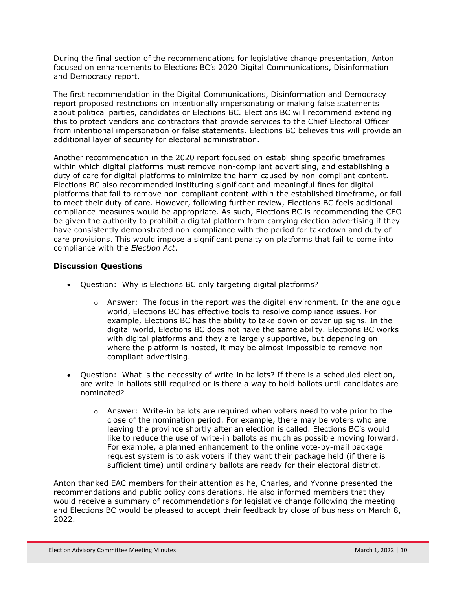During the final section of the recommendations for legislative change presentation, Anton focused on enhancements to Elections BC's 2020 Digital Communications, Disinformation and Democracy report.

The first recommendation in the Digital Communications, Disinformation and Democracy report proposed restrictions on intentionally impersonating or making false statements about political parties, candidates or Elections BC. Elections BC will recommend extending this to protect vendors and contractors that provide services to the Chief Electoral Officer from intentional impersonation or false statements. Elections BC believes this will provide an additional layer of security for electoral administration.

Another recommendation in the 2020 report focused on establishing specific timeframes within which digital platforms must remove non-compliant advertising, and establishing a duty of care for digital platforms to minimize the harm caused by non-compliant content. Elections BC also recommended instituting significant and meaningful fines for digital platforms that fail to remove non-compliant content within the established timeframe, or fail to meet their duty of care. However, following further review, Elections BC feels additional compliance measures would be appropriate. As such, Elections BC is recommending the CEO be given the authority to prohibit a digital platform from carrying election advertising if they have consistently demonstrated non-compliance with the period for takedown and duty of care provisions. This would impose a significant penalty on platforms that fail to come into compliance with the *Election Act*.

# **Discussion Questions**

- Question: Why is Elections BC only targeting digital platforms?
	- $\circ$  Answer: The focus in the report was the digital environment. In the analogue world, Elections BC has effective tools to resolve compliance issues. For example, Elections BC has the ability to take down or cover up signs. In the digital world, Elections BC does not have the same ability. Elections BC works with digital platforms and they are largely supportive, but depending on where the platform is hosted, it may be almost impossible to remove noncompliant advertising.
- Question: What is the necessity of write-in ballots? If there is a scheduled election, are write-in ballots still required or is there a way to hold ballots until candidates are nominated?
	- $\circ$  Answer: Write-in ballots are required when voters need to vote prior to the close of the nomination period. For example, there may be voters who are leaving the province shortly after an election is called. Elections BC's would like to reduce the use of write-in ballots as much as possible moving forward. For example, a planned enhancement to the online vote-by-mail package request system is to ask voters if they want their package held (if there is sufficient time) until ordinary ballots are ready for their electoral district.

Anton thanked EAC members for their attention as he, Charles, and Yvonne presented the recommendations and public policy considerations. He also informed members that they would receive a summary of recommendations for legislative change following the meeting and Elections BC would be pleased to accept their feedback by close of business on March 8, 2022.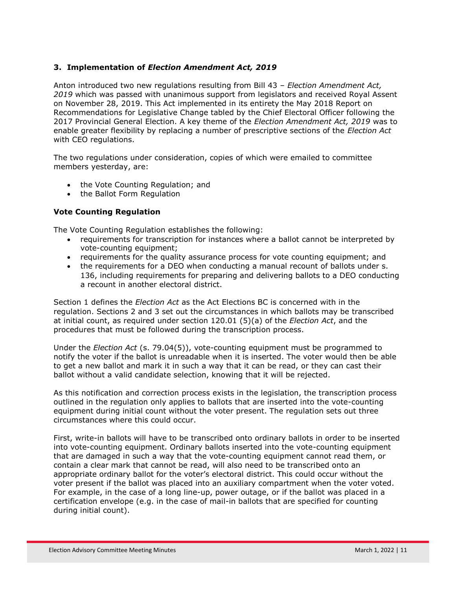# **3. Implementation of** *Election Amendment Act, 2019*

Anton introduced two new regulations resulting from Bill 43 – *Election Amendment Act, 2019* which was passed with unanimous support from legislators and received Royal Assent on November 28, 2019. This Act implemented in its entirety the May 2018 Report on Recommendations for Legislative Change tabled by the Chief Electoral Officer following the 2017 Provincial General Election. A key theme of the *Election Amendment Act, 2019* was to enable greater flexibility by replacing a number of prescriptive sections of the *Election Act* with CEO regulations.

The two regulations under consideration, copies of which were emailed to committee members yesterday, are:

- the Vote Counting Regulation; and
- the Ballot Form Regulation

## **Vote Counting Regulation**

The Vote Counting Regulation establishes the following:

- requirements for transcription for instances where a ballot cannot be interpreted by vote-counting equipment;
- requirements for the quality assurance process for vote counting equipment; and
- the requirements for a DEO when conducting a manual recount of ballots under s. 136, including requirements for preparing and delivering ballots to a DEO conducting a recount in another electoral district.

Section 1 defines the *Election Act* as the Act Elections BC is concerned with in the regulation. Sections 2 and 3 set out the circumstances in which ballots may be transcribed at initial count, as required under section 120.01 (5)(a) of the *Election Act*, and the procedures that must be followed during the transcription process.

Under the *Election Act* (s. 79.04(5)), vote-counting equipment must be programmed to notify the voter if the ballot is unreadable when it is inserted. The voter would then be able to get a new ballot and mark it in such a way that it can be read, or they can cast their ballot without a valid candidate selection, knowing that it will be rejected.

As this notification and correction process exists in the legislation, the transcription process outlined in the regulation only applies to ballots that are inserted into the vote-counting equipment during initial count without the voter present. The regulation sets out three circumstances where this could occur.

First, write-in ballots will have to be transcribed onto ordinary ballots in order to be inserted into vote-counting equipment. Ordinary ballots inserted into the vote-counting equipment that are damaged in such a way that the vote-counting equipment cannot read them, or contain a clear mark that cannot be read, will also need to be transcribed onto an appropriate ordinary ballot for the voter's electoral district. This could occur without the voter present if the ballot was placed into an auxiliary compartment when the voter voted. For example, in the case of a long line-up, power outage, or if the ballot was placed in a certification envelope (e.g. in the case of mail-in ballots that are specified for counting during initial count).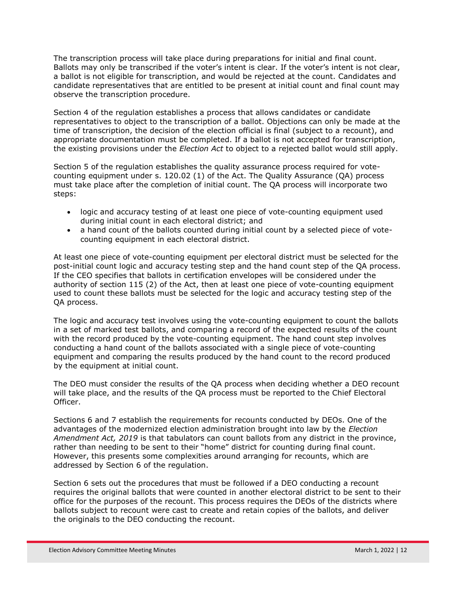The transcription process will take place during preparations for initial and final count. Ballots may only be transcribed if the voter's intent is clear. If the voter's intent is not clear, a ballot is not eligible for transcription, and would be rejected at the count. Candidates and candidate representatives that are entitled to be present at initial count and final count may observe the transcription procedure.

Section 4 of the regulation establishes a process that allows candidates or candidate representatives to object to the transcription of a ballot. Objections can only be made at the time of transcription, the decision of the election official is final (subject to a recount), and appropriate documentation must be completed. If a ballot is not accepted for transcription, the existing provisions under the *Election Act* to object to a rejected ballot would still apply.

Section 5 of the regulation establishes the quality assurance process required for votecounting equipment under s. 120.02 (1) of the Act. The Quality Assurance (QA) process must take place after the completion of initial count. The QA process will incorporate two steps:

- logic and accuracy testing of at least one piece of vote-counting equipment used during initial count in each electoral district; and
- a hand count of the ballots counted during initial count by a selected piece of votecounting equipment in each electoral district.

At least one piece of vote-counting equipment per electoral district must be selected for the post-initial count logic and accuracy testing step and the hand count step of the QA process. If the CEO specifies that ballots in certification envelopes will be considered under the authority of section 115 (2) of the Act, then at least one piece of vote-counting equipment used to count these ballots must be selected for the logic and accuracy testing step of the QA process.

The logic and accuracy test involves using the vote-counting equipment to count the ballots in a set of marked test ballots, and comparing a record of the expected results of the count with the record produced by the vote-counting equipment. The hand count step involves conducting a hand count of the ballots associated with a single piece of vote-counting equipment and comparing the results produced by the hand count to the record produced by the equipment at initial count.

The DEO must consider the results of the QA process when deciding whether a DEO recount will take place, and the results of the QA process must be reported to the Chief Electoral Officer.

Sections 6 and 7 establish the requirements for recounts conducted by DEOs. One of the advantages of the modernized election administration brought into law by the *Election Amendment Act, 2019* is that tabulators can count ballots from any district in the province, rather than needing to be sent to their "home" district for counting during final count. However, this presents some complexities around arranging for recounts, which are addressed by Section 6 of the regulation.

Section 6 sets out the procedures that must be followed if a DEO conducting a recount requires the original ballots that were counted in another electoral district to be sent to their office for the purposes of the recount. This process requires the DEOs of the districts where ballots subject to recount were cast to create and retain copies of the ballots, and deliver the originals to the DEO conducting the recount.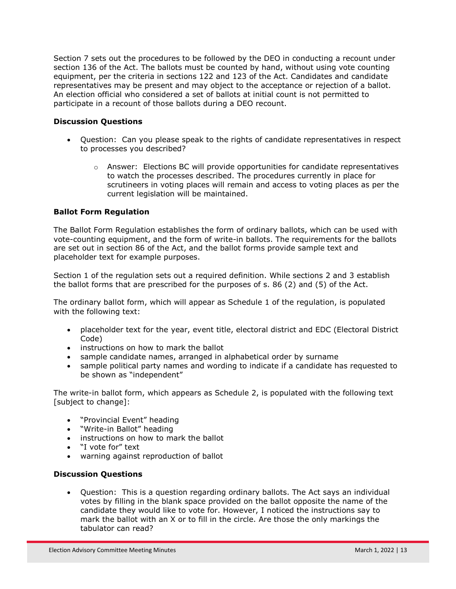Section 7 sets out the procedures to be followed by the DEO in conducting a recount under section 136 of the Act. The ballots must be counted by hand, without using vote counting equipment, per the criteria in sections 122 and 123 of the Act. Candidates and candidate representatives may be present and may object to the acceptance or rejection of a ballot. An election official who considered a set of ballots at initial count is not permitted to participate in a recount of those ballots during a DEO recount.

## **Discussion Questions**

- Question: Can you please speak to the rights of candidate representatives in respect to processes you described?
	- $\circ$  Answer: Elections BC will provide opportunities for candidate representatives to watch the processes described. The procedures currently in place for scrutineers in voting places will remain and access to voting places as per the current legislation will be maintained.

## **Ballot Form Regulation**

The Ballot Form Regulation establishes the form of ordinary ballots, which can be used with vote-counting equipment, and the form of write-in ballots. The requirements for the ballots are set out in section 86 of the Act, and the ballot forms provide sample text and placeholder text for example purposes.

Section 1 of the regulation sets out a required definition. While sections 2 and 3 establish the ballot forms that are prescribed for the purposes of s. 86 (2) and (5) of the Act.

The ordinary ballot form, which will appear as Schedule 1 of the regulation, is populated with the following text:

- placeholder text for the year, event title, electoral district and EDC (Electoral District Code)
- instructions on how to mark the ballot
- sample candidate names, arranged in alphabetical order by surname
- sample political party names and wording to indicate if a candidate has requested to be shown as "independent"

The write-in ballot form, which appears as Schedule 2, is populated with the following text [subject to change]:

- "Provincial Event" heading
- "Write-in Ballot" heading
- instructions on how to mark the ballot
- "I vote for" text
- warning against reproduction of ballot

## **Discussion Questions**

 Question: This is a question regarding ordinary ballots. The Act says an individual votes by filling in the blank space provided on the ballot opposite the name of the candidate they would like to vote for. However, I noticed the instructions say to mark the ballot with an X or to fill in the circle. Are those the only markings the tabulator can read?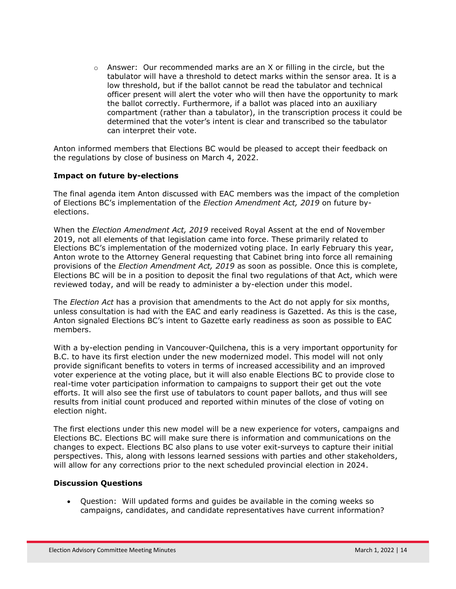$\circ$  Answer: Our recommended marks are an X or filling in the circle, but the tabulator will have a threshold to detect marks within the sensor area. It is a low threshold, but if the ballot cannot be read the tabulator and technical officer present will alert the voter who will then have the opportunity to mark the ballot correctly. Furthermore, if a ballot was placed into an auxiliary compartment (rather than a tabulator), in the transcription process it could be determined that the voter's intent is clear and transcribed so the tabulator can interpret their vote.

Anton informed members that Elections BC would be pleased to accept their feedback on the regulations by close of business on March 4, 2022.

#### **Impact on future by-elections**

The final agenda item Anton discussed with EAC members was the impact of the completion of Elections BC's implementation of the *Election Amendment Act, 2019* on future byelections.

When the *Election Amendment Act, 2019* received Royal Assent at the end of November 2019, not all elements of that legislation came into force. These primarily related to Elections BC's implementation of the modernized voting place. In early February this year, Anton wrote to the Attorney General requesting that Cabinet bring into force all remaining provisions of the *Election Amendment Act, 2019* as soon as possible. Once this is complete, Elections BC will be in a position to deposit the final two regulations of that Act, which were reviewed today, and will be ready to administer a by-election under this model.

The *Election Act* has a provision that amendments to the Act do not apply for six months, unless consultation is had with the EAC and early readiness is Gazetted. As this is the case, Anton signaled Elections BC's intent to Gazette early readiness as soon as possible to EAC members.

With a by-election pending in Vancouver-Quilchena, this is a very important opportunity for B.C. to have its first election under the new modernized model. This model will not only provide significant benefits to voters in terms of increased accessibility and an improved voter experience at the voting place, but it will also enable Elections BC to provide close to real-time voter participation information to campaigns to support their get out the vote efforts. It will also see the first use of tabulators to count paper ballots, and thus will see results from initial count produced and reported within minutes of the close of voting on election night.

The first elections under this new model will be a new experience for voters, campaigns and Elections BC. Elections BC will make sure there is information and communications on the changes to expect. Elections BC also plans to use voter exit-surveys to capture their initial perspectives. This, along with lessons learned sessions with parties and other stakeholders, will allow for any corrections prior to the next scheduled provincial election in 2024.

#### **Discussion Questions**

 Question: Will updated forms and guides be available in the coming weeks so campaigns, candidates, and candidate representatives have current information?